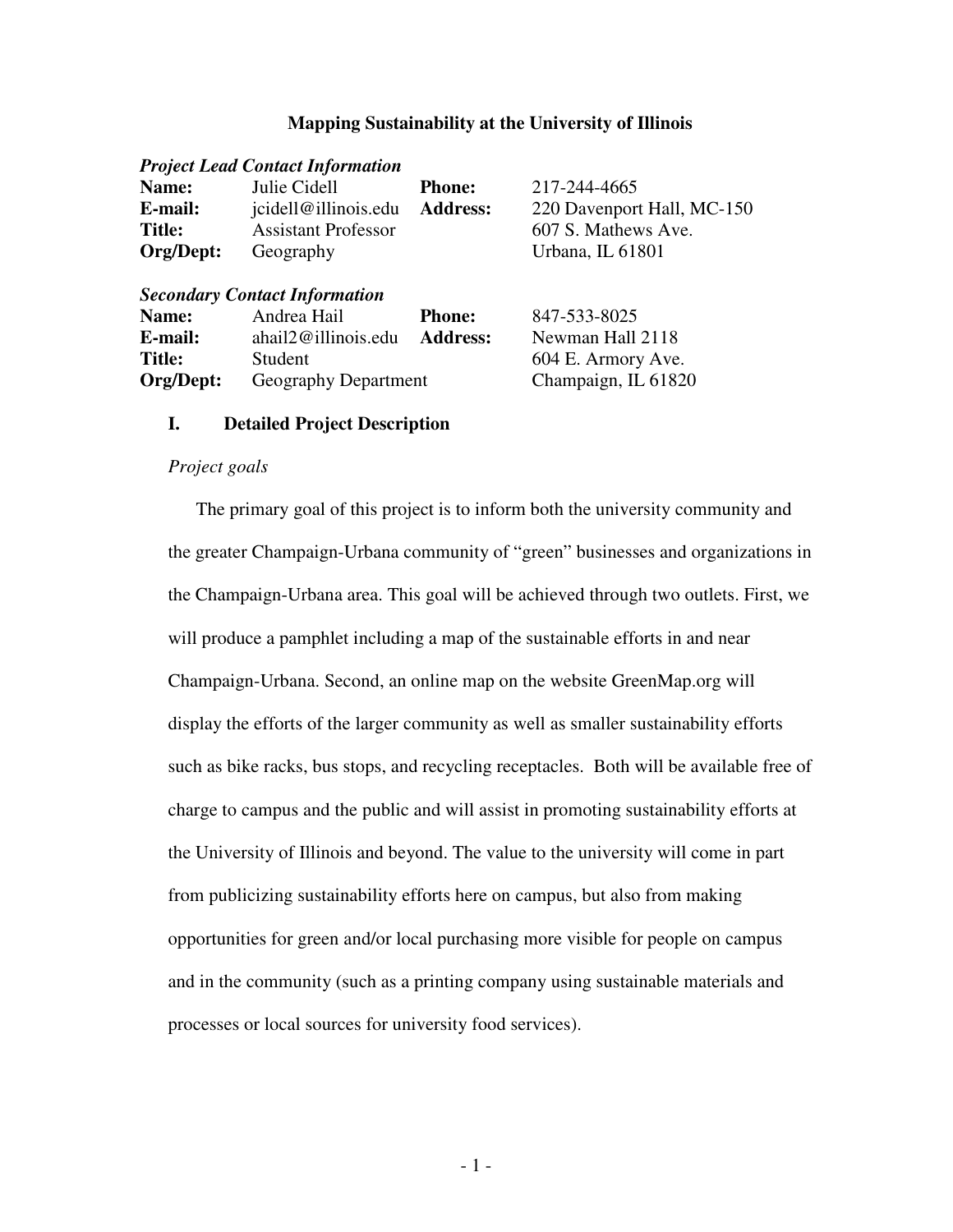# **Mapping Sustainability at the University of Illinois**

|               | <b>Project Lead Contact Information</b> |                 |                            |
|---------------|-----------------------------------------|-----------------|----------------------------|
| Name:         | Julie Cidell                            | <b>Phone:</b>   | 217-244-4665               |
| E-mail:       | jcidell@illinois.edu                    | <b>Address:</b> | 220 Davenport Hall, MC-150 |
| <b>Title:</b> | <b>Assistant Professor</b>              |                 | 607 S. Mathews Ave.        |
| Org/Dept:     | Geography                               |                 | Urbana, IL 61801           |
|               | <b>Secondary Contact Information</b>    |                 |                            |
| Name:         | Andrea Hail                             | <b>Phone:</b>   | 847-533-8025               |
| E-mail:       | ahail2@illinois.edu                     | <b>Address:</b> | Newman Hall 2118           |
| <b>Title:</b> | Student                                 |                 | 604 E. Armory Ave.         |
| Org/Dept:     | Geography Department                    |                 | Champaign, IL 61820        |

### **I. Detailed Project Description**

### *Project goals*

The primary goal of this project is to inform both the university community and the greater Champaign-Urbana community of "green" businesses and organizations in the Champaign-Urbana area. This goal will be achieved through two outlets. First, we will produce a pamphlet including a map of the sustainable efforts in and near Champaign-Urbana. Second, an online map on the website GreenMap.org will display the efforts of the larger community as well as smaller sustainability efforts such as bike racks, bus stops, and recycling receptacles. Both will be available free of charge to campus and the public and will assist in promoting sustainability efforts at the University of Illinois and beyond. The value to the university will come in part from publicizing sustainability efforts here on campus, but also from making opportunities for green and/or local purchasing more visible for people on campus and in the community (such as a printing company using sustainable materials and processes or local sources for university food services).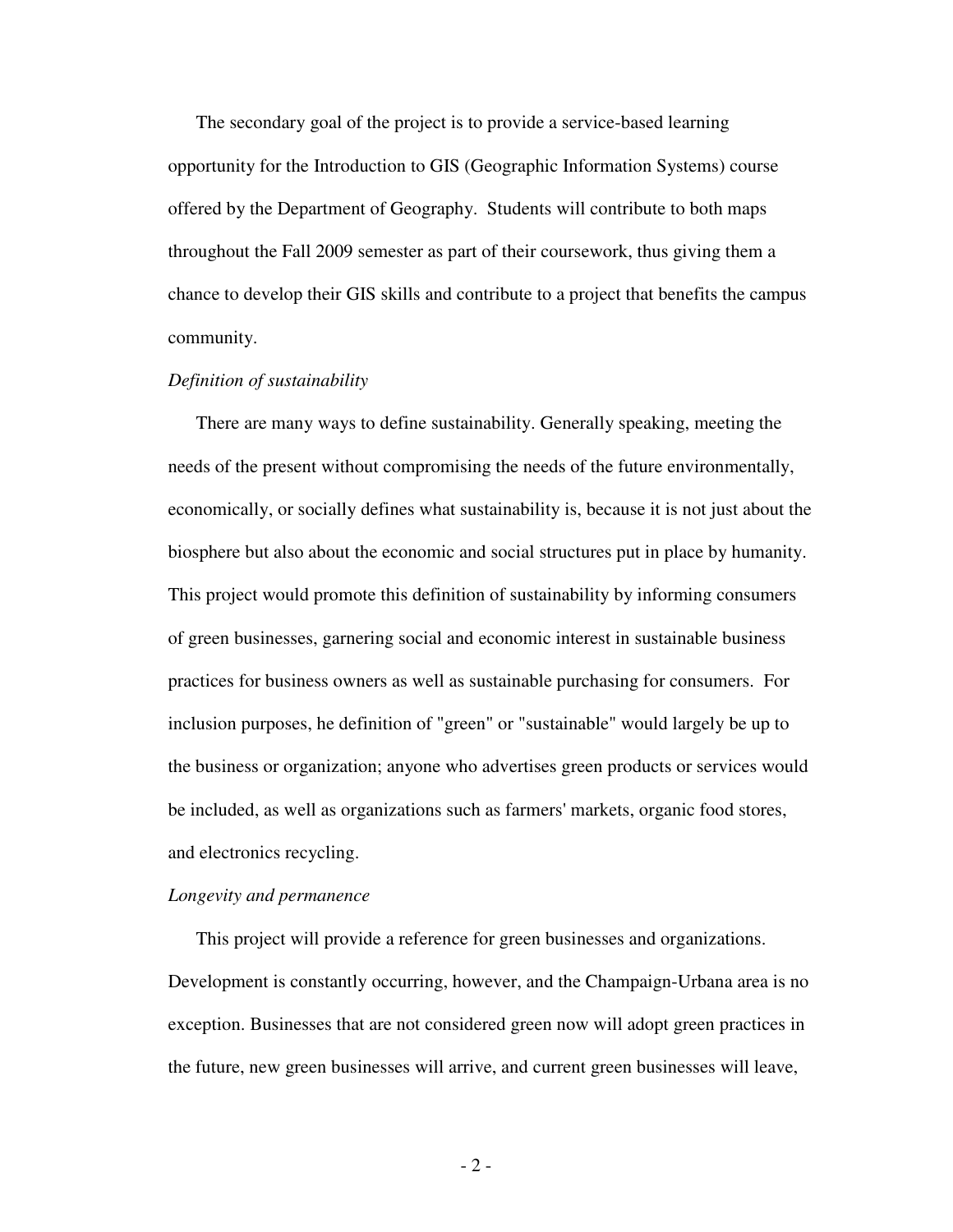The secondary goal of the project is to provide a service-based learning opportunity for the Introduction to GIS (Geographic Information Systems) course offered by the Department of Geography. Students will contribute to both maps throughout the Fall 2009 semester as part of their coursework, thus giving them a chance to develop their GIS skills and contribute to a project that benefits the campus community.

# *Definition of sustainability*

There are many ways to define sustainability. Generally speaking, meeting the needs of the present without compromising the needs of the future environmentally, economically, or socially defines what sustainability is, because it is not just about the biosphere but also about the economic and social structures put in place by humanity. This project would promote this definition of sustainability by informing consumers of green businesses, garnering social and economic interest in sustainable business practices for business owners as well as sustainable purchasing for consumers. For inclusion purposes, he definition of "green" or "sustainable" would largely be up to the business or organization; anyone who advertises green products or services would be included, as well as organizations such as farmers' markets, organic food stores, and electronics recycling.

#### *Longevity and permanence*

This project will provide a reference for green businesses and organizations. Development is constantly occurring, however, and the Champaign-Urbana area is no exception. Businesses that are not considered green now will adopt green practices in the future, new green businesses will arrive, and current green businesses will leave,

- 2 -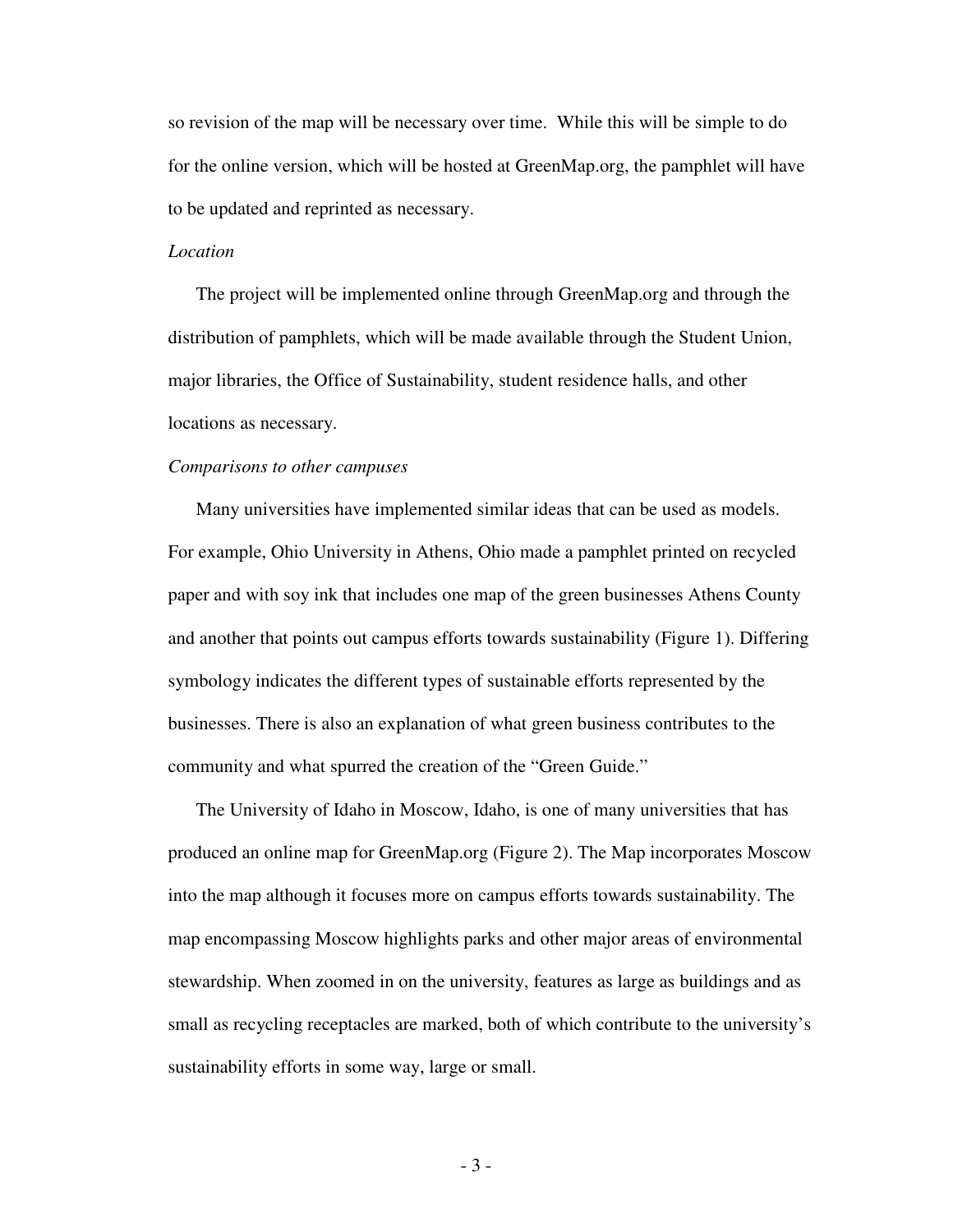so revision of the map will be necessary over time. While this will be simple to do for the online version, which will be hosted at GreenMap.org, the pamphlet will have to be updated and reprinted as necessary.

# *Location*

The project will be implemented online through GreenMap.org and through the distribution of pamphlets, which will be made available through the Student Union, major libraries, the Office of Sustainability, student residence halls, and other locations as necessary.

#### *Comparisons to other campuses*

Many universities have implemented similar ideas that can be used as models. For example, Ohio University in Athens, Ohio made a pamphlet printed on recycled paper and with soy ink that includes one map of the green businesses Athens County and another that points out campus efforts towards sustainability (Figure 1). Differing symbology indicates the different types of sustainable efforts represented by the businesses. There is also an explanation of what green business contributes to the community and what spurred the creation of the "Green Guide."

The University of Idaho in Moscow, Idaho, is one of many universities that has produced an online map for GreenMap.org (Figure 2). The Map incorporates Moscow into the map although it focuses more on campus efforts towards sustainability. The map encompassing Moscow highlights parks and other major areas of environmental stewardship. When zoomed in on the university, features as large as buildings and as small as recycling receptacles are marked, both of which contribute to the university's sustainability efforts in some way, large or small.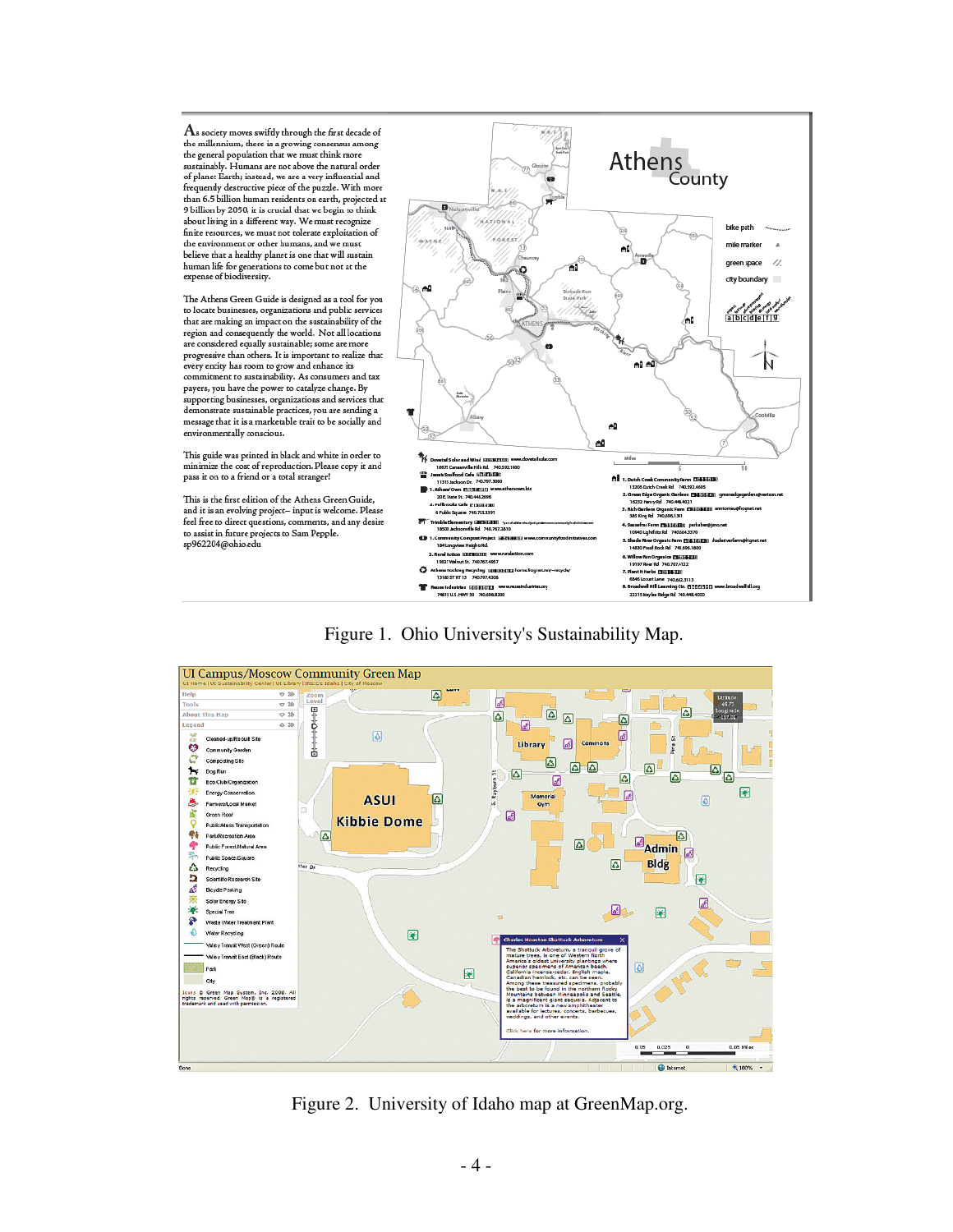${\rm A}$ s society moves swifdy through the first decade of the millennium, there is a growing consensus among<br>the general population that we must think more sustainably. Humans are not above the natural order of planet Earth; instead, we are a very influential and<br>frequently destructive piece of the puzzle. With more than 6.5 billion human residents on earth, projected at 9 billion by 2050, it is crucial that we begin to think about living in a different way. We must recognize finite resources, we must not tolerate exploitation of the environment or other humans, and we must believe that a healthy planet is one that will sustain human life for generations to come but not at the<br>expense of biodiversity.

The Athens Green Guide is designed as a tool for you to locate businesses, organizations and public services that are making an impact on the sustainability of the region and consequently the world. Not all locations are considered equally sustainable; some are more progressive than others. It is important to realize that<br>every entity has room to grow and enhance its commitment to sustainability. As consumers and tax payers, you have the power to catalyze change. By supporting businesses, organizations and services that demonstrate sustainable practices, you are sending a<br>measage that it is a marketable trait to be socially and environmentally conscious.

This guide was printed in black and white in order to minimize the cost of reproduction. Please copy it and pass it on to a friend or a total stranger!

This is the first edition of the Athens Green Guide. and it is an evolving project- input is welcome. Please feel free to direct questions, comments, and any desire to assist in future projects to Sam Pepple. sp962204@ohio.edu



# Figure 1. Ohio University's Sustainability Map.



Figure 2. University of Idaho map at GreenMap.org.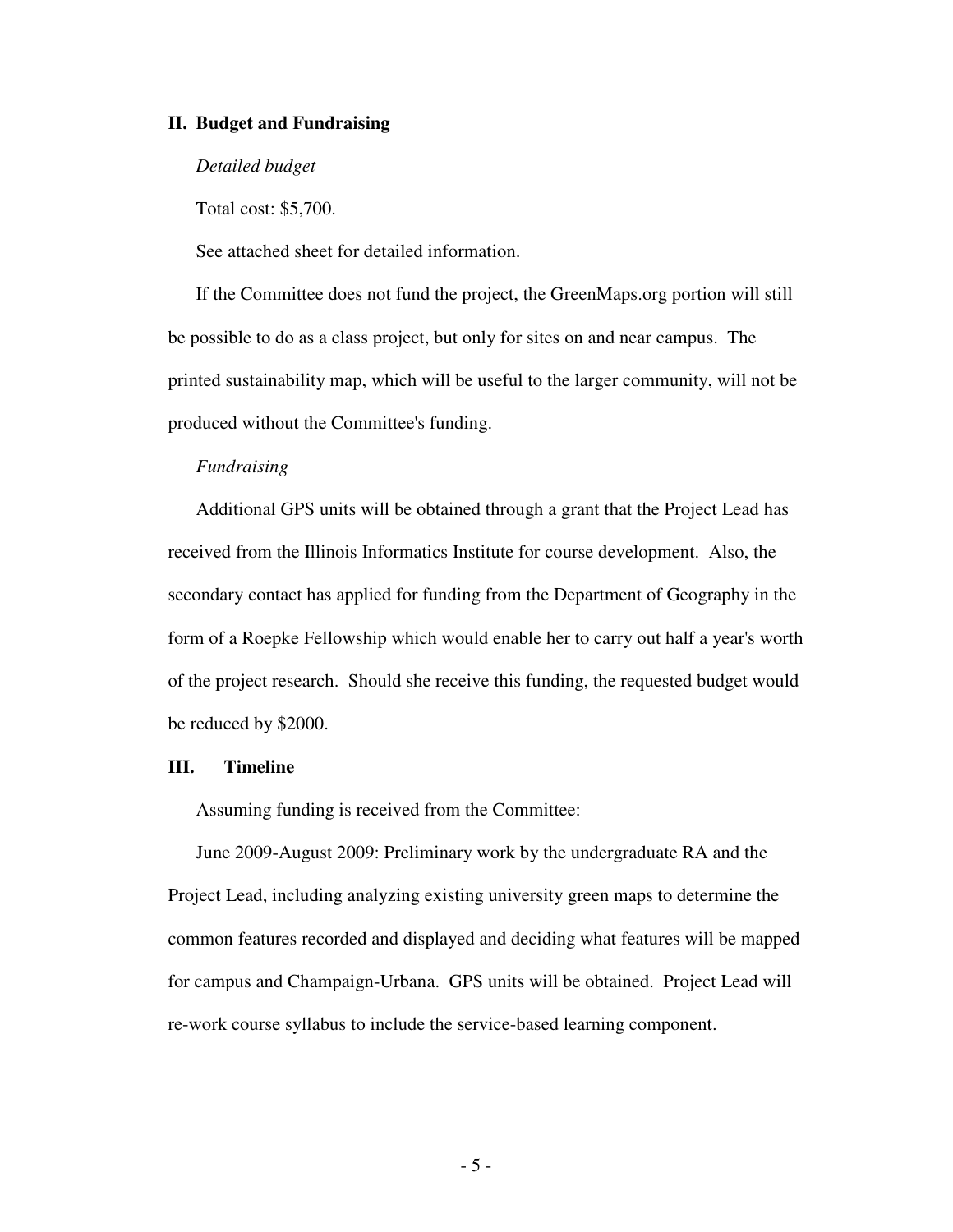## **II. Budget and Fundraising**

## *Detailed budget*

Total cost: \$5,700.

See attached sheet for detailed information.

If the Committee does not fund the project, the GreenMaps.org portion will still be possible to do as a class project, but only for sites on and near campus. The printed sustainability map, which will be useful to the larger community, will not be produced without the Committee's funding.

# *Fundraising*

Additional GPS units will be obtained through a grant that the Project Lead has received from the Illinois Informatics Institute for course development. Also, the secondary contact has applied for funding from the Department of Geography in the form of a Roepke Fellowship which would enable her to carry out half a year's worth of the project research. Should she receive this funding, the requested budget would be reduced by \$2000.

## **III. Timeline**

Assuming funding is received from the Committee:

June 2009-August 2009: Preliminary work by the undergraduate RA and the Project Lead, including analyzing existing university green maps to determine the common features recorded and displayed and deciding what features will be mapped for campus and Champaign-Urbana. GPS units will be obtained. Project Lead will re-work course syllabus to include the service-based learning component.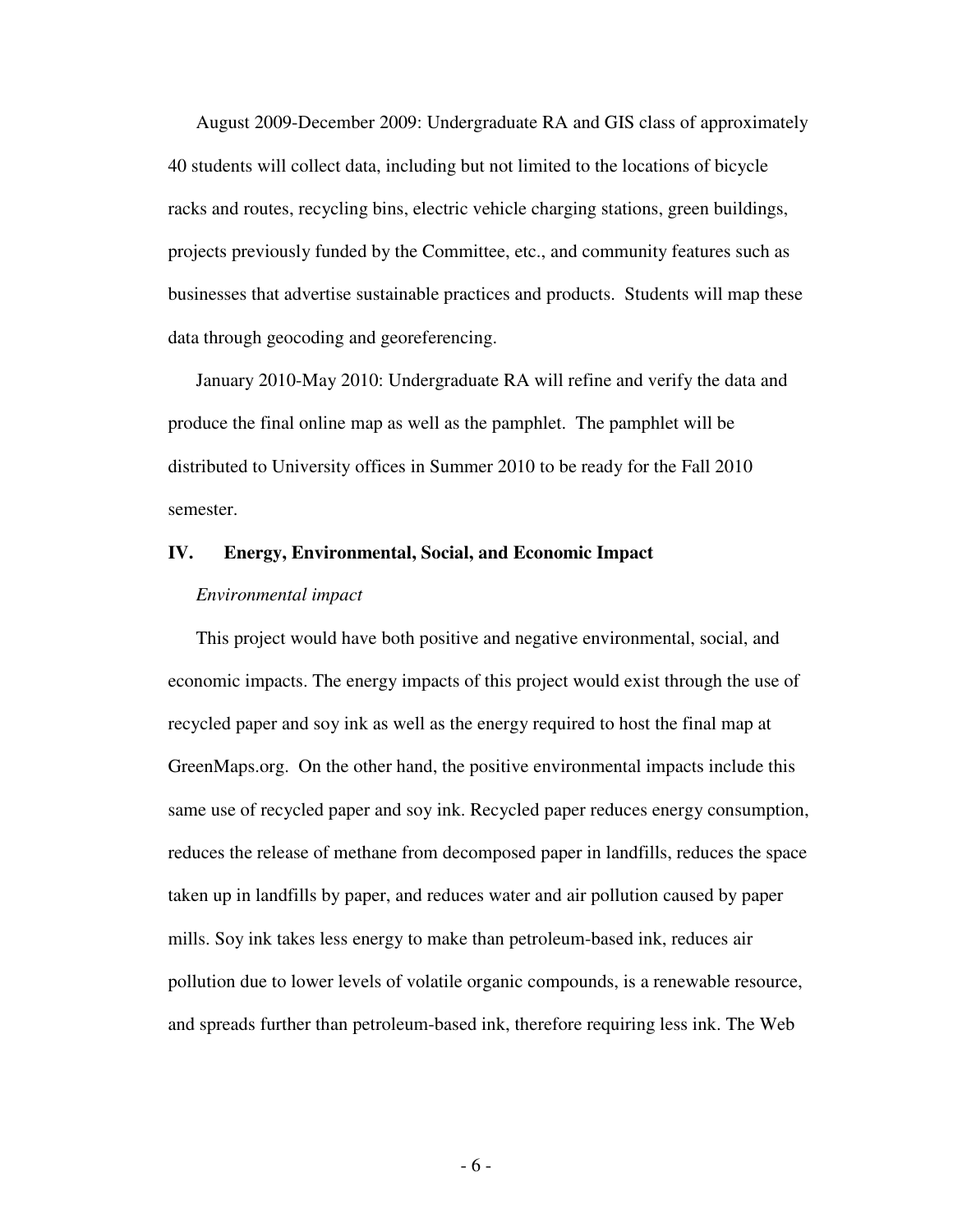August 2009-December 2009: Undergraduate RA and GIS class of approximately 40 students will collect data, including but not limited to the locations of bicycle racks and routes, recycling bins, electric vehicle charging stations, green buildings, projects previously funded by the Committee, etc., and community features such as businesses that advertise sustainable practices and products. Students will map these data through geocoding and georeferencing.

January 2010-May 2010: Undergraduate RA will refine and verify the data and produce the final online map as well as the pamphlet. The pamphlet will be distributed to University offices in Summer 2010 to be ready for the Fall 2010 semester.

### **IV. Energy, Environmental, Social, and Economic Impact**

#### *Environmental impact*

This project would have both positive and negative environmental, social, and economic impacts. The energy impacts of this project would exist through the use of recycled paper and soy ink as well as the energy required to host the final map at GreenMaps.org. On the other hand, the positive environmental impacts include this same use of recycled paper and soy ink. Recycled paper reduces energy consumption, reduces the release of methane from decomposed paper in landfills, reduces the space taken up in landfills by paper, and reduces water and air pollution caused by paper mills. Soy ink takes less energy to make than petroleum-based ink, reduces air pollution due to lower levels of volatile organic compounds, is a renewable resource, and spreads further than petroleum-based ink, therefore requiring less ink. The Web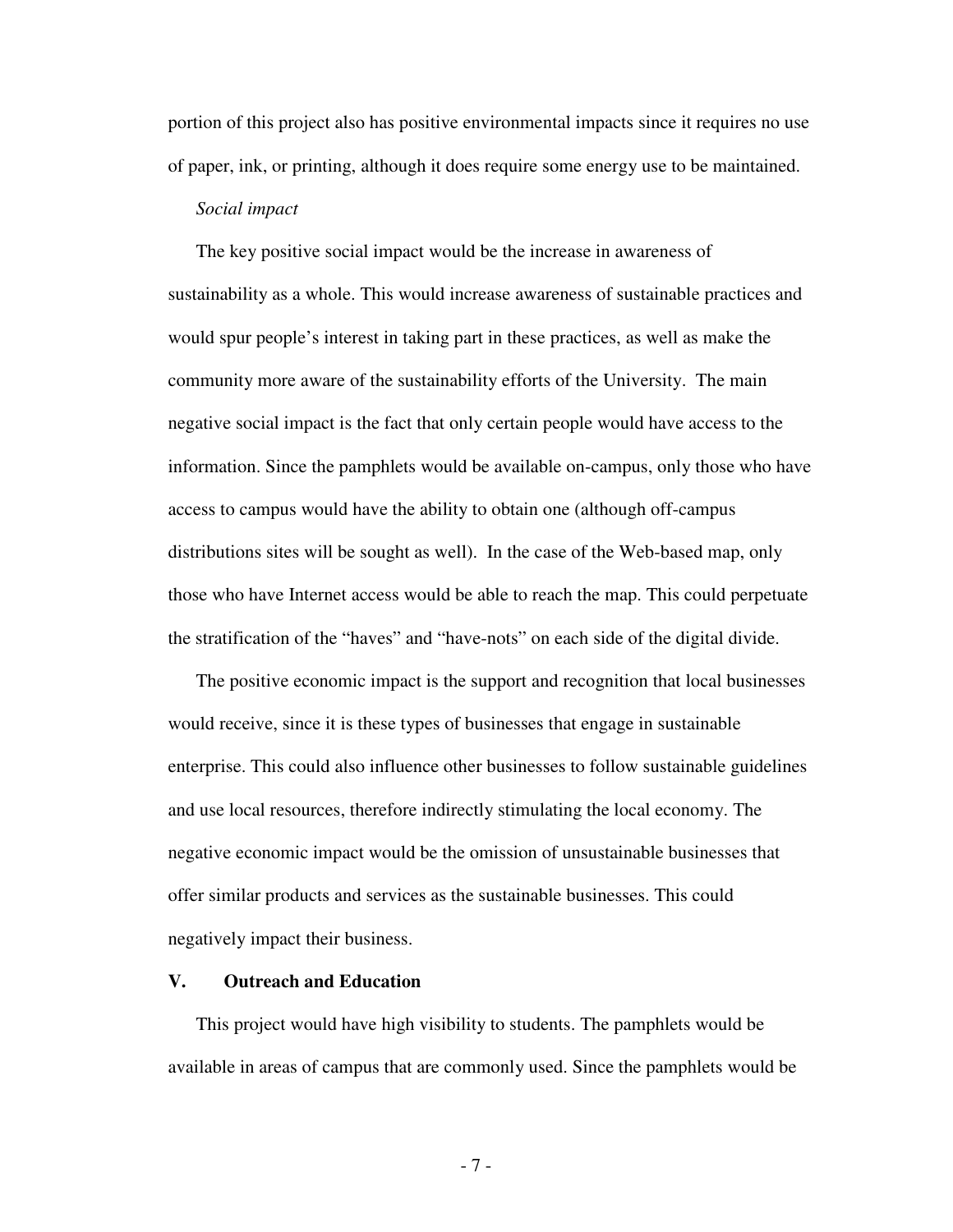portion of this project also has positive environmental impacts since it requires no use of paper, ink, or printing, although it does require some energy use to be maintained.

### *Social impact*

The key positive social impact would be the increase in awareness of sustainability as a whole. This would increase awareness of sustainable practices and would spur people's interest in taking part in these practices, as well as make the community more aware of the sustainability efforts of the University. The main negative social impact is the fact that only certain people would have access to the information. Since the pamphlets would be available on-campus, only those who have access to campus would have the ability to obtain one (although off-campus distributions sites will be sought as well). In the case of the Web-based map, only those who have Internet access would be able to reach the map. This could perpetuate the stratification of the "haves" and "have-nots" on each side of the digital divide.

The positive economic impact is the support and recognition that local businesses would receive, since it is these types of businesses that engage in sustainable enterprise. This could also influence other businesses to follow sustainable guidelines and use local resources, therefore indirectly stimulating the local economy. The negative economic impact would be the omission of unsustainable businesses that offer similar products and services as the sustainable businesses. This could negatively impact their business.

## **V. Outreach and Education**

This project would have high visibility to students. The pamphlets would be available in areas of campus that are commonly used. Since the pamphlets would be

- 7 -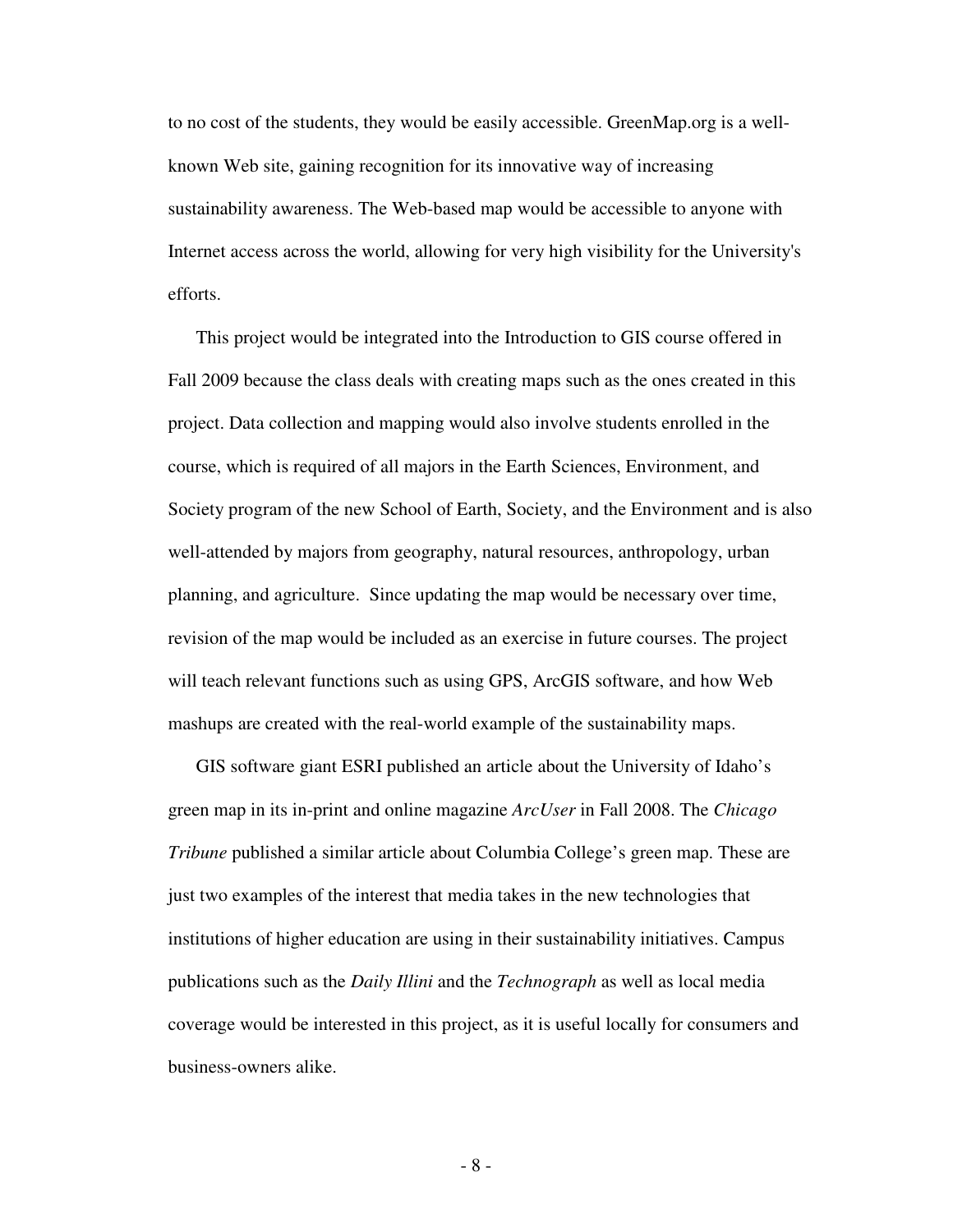to no cost of the students, they would be easily accessible. GreenMap.org is a wellknown Web site, gaining recognition for its innovative way of increasing sustainability awareness. The Web-based map would be accessible to anyone with Internet access across the world, allowing for very high visibility for the University's efforts.

This project would be integrated into the Introduction to GIS course offered in Fall 2009 because the class deals with creating maps such as the ones created in this project. Data collection and mapping would also involve students enrolled in the course, which is required of all majors in the Earth Sciences, Environment, and Society program of the new School of Earth, Society, and the Environment and is also well-attended by majors from geography, natural resources, anthropology, urban planning, and agriculture. Since updating the map would be necessary over time, revision of the map would be included as an exercise in future courses. The project will teach relevant functions such as using GPS, ArcGIS software, and how Web mashups are created with the real-world example of the sustainability maps.

GIS software giant ESRI published an article about the University of Idaho's green map in its in-print and online magazine *ArcUser* in Fall 2008. The *Chicago Tribune* published a similar article about Columbia College's green map. These are just two examples of the interest that media takes in the new technologies that institutions of higher education are using in their sustainability initiatives. Campus publications such as the *Daily Illini* and the *Technograph* as well as local media coverage would be interested in this project, as it is useful locally for consumers and business-owners alike.

- 8 -